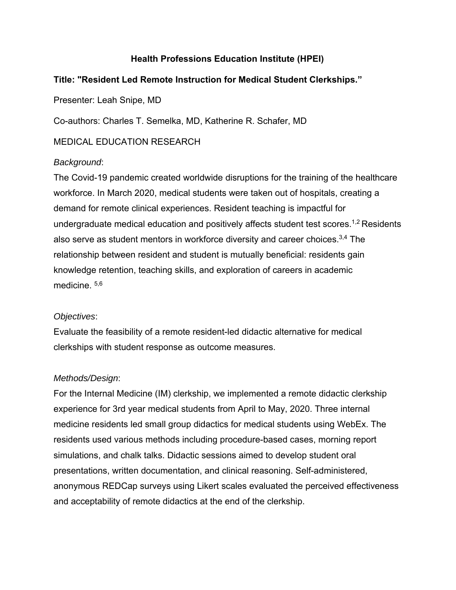# **Health Professions Education Institute (HPEI)**

# **Title: "Resident Led Remote Instruction for Medical Student Clerkships."**

Presenter: Leah Snipe, MD

Co-authors: Charles T. Semelka, MD, Katherine R. Schafer, MD

MEDICAL EDUCATION RESEARCH

### *Background*:

The Covid-19 pandemic created worldwide disruptions for the training of the healthcare workforce. In March 2020, medical students were taken out of hospitals, creating a demand for remote clinical experiences. Resident teaching is impactful for undergraduate medical education and positively affects student test scores.<sup>1,2</sup> Residents also serve as student mentors in workforce diversity and career choices. 3,4 The relationship between resident and student is mutually beneficial: residents gain knowledge retention, teaching skills, and exploration of careers in academic medicine. 5,6

## *Objectives*:

Evaluate the feasibility of a remote resident-led didactic alternative for medical clerkships with student response as outcome measures.

## *Methods/Design*:

For the Internal Medicine (IM) clerkship, we implemented a remote didactic clerkship experience for 3rd year medical students from April to May, 2020. Three internal medicine residents led small group didactics for medical students using WebEx. The residents used various methods including procedure-based cases, morning report simulations, and chalk talks. Didactic sessions aimed to develop student oral presentations, written documentation, and clinical reasoning. Self-administered, anonymous REDCap surveys using Likert scales evaluated the perceived effectiveness and acceptability of remote didactics at the end of the clerkship.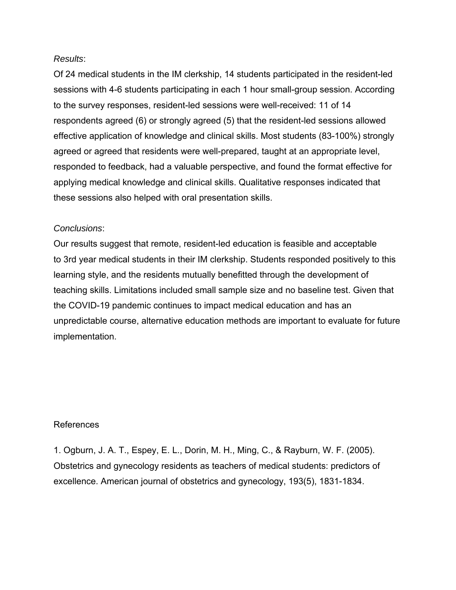#### *Results*:

Of 24 medical students in the IM clerkship, 14 students participated in the resident-led sessions with 4-6 students participating in each 1 hour small-group session. According to the survey responses, resident-led sessions were well-received: 11 of 14 respondents agreed (6) or strongly agreed (5) that the resident-led sessions allowed effective application of knowledge and clinical skills. Most students (83-100%) strongly agreed or agreed that residents were well-prepared, taught at an appropriate level, responded to feedback, had a valuable perspective, and found the format effective for applying medical knowledge and clinical skills. Qualitative responses indicated that these sessions also helped with oral presentation skills.

### *Conclusions*:

Our results suggest that remote, resident-led education is feasible and acceptable to 3rd year medical students in their IM clerkship. Students responded positively to this learning style, and the residents mutually benefitted through the development of teaching skills. Limitations included small sample size and no baseline test. Given that the COVID-19 pandemic continues to impact medical education and has an unpredictable course, alternative education methods are important to evaluate for future implementation.

#### References

1. Ogburn, J. A. T., Espey, E. L., Dorin, M. H., Ming, C., & Rayburn, W. F. (2005). Obstetrics and gynecology residents as teachers of medical students: predictors of excellence. American journal of obstetrics and gynecology, 193(5), 1831-1834.